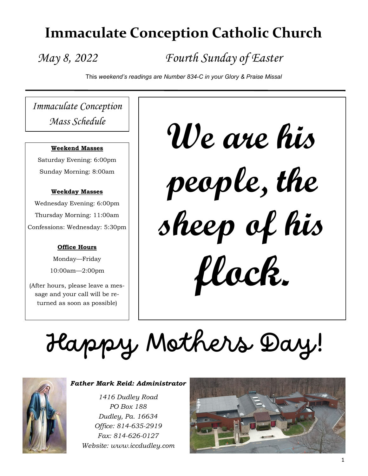## **Immaculate Conception Catholic Church**

## *May 8, 2022 Fourth Sunday of Easter*

This *weekend's readings are Number 834-C in your Glory & Praise Missal*

*Immaculate Conception Mass Schedule*

#### **Weekend Masses**

Saturday Evening: 6:00pm Sunday Morning: 8:00am

#### **Weekday Masses**

Wednesday Evening: 6:00pm Thursday Morning: 11:00am Confessions: Wednesday: 5:30pm

#### **Office Hours**

Monday—Friday 10:00am—2:00pm

(After hours, please leave a message and your call will be returned as soon as possible)

**We are his people, the sheep of his flock.**

# Happy Mothers Day!



#### *Father Mark Reid: Administrator*

*1416 Dudley Road PO Box 188 Dudley, Pa. 16634 Office: 814-635-2919 Fax: 814-626-0127 Website: www.iccdudley.com*

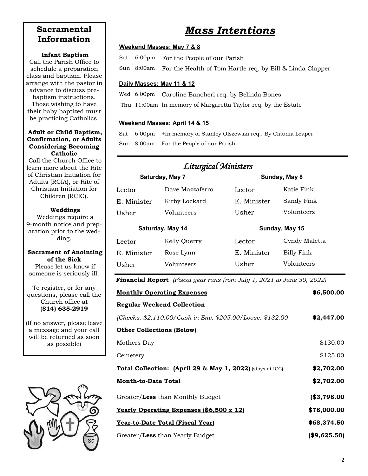## **Sacramental Information**

#### **Infant Baptism**

Call the Parish Office to schedule a preparation class and baptism. Please arrange with the pastor in advance to discuss prebaptism instructions. Those wishing to have their baby baptized must be practicing Catholics.

#### **Adult or Child Baptism, Confirmation, or Adults Considering Becoming Catholic**

Call the Church Office to learn more about the Rite of Christian Initiation for Adults (RCIA), or Rite of Christian Initiation for Children (RCIC).

#### **Weddings**

Weddings require a 9-month notice and preparation prior to the wedding.

#### **Sacrament of Anointing of the Sick**

Please let us know if someone is seriously ill.

To register, or for any questions, please call the Church office at (**814) 635-2919**

(If no answer, please leave a message and your call will be returned as soon as possible)



## *Mass Intentions*

#### **Weekend Masses: May 7 & 8**

Sat 6:00pm For the People of our Parish

Sun 8:00am For the Health of Tom Hartle req. by Bill & Linda Clapper

#### **Daily Masses: May 11 & 12**

Wed 6:00pm Caroline Bancheri req. by Belinda Bones

Thu 11:00am In memory of Margaretta Taylor req. by the Estate

#### **Weekend Masses: April 14 & 15**

Sat 6:00pm +In memory of Stanley Olszewski req.. By Claudia Leaper Sun 8:00am For the People of our Parish

| <b>Liturgical Ministers</b> |                 |                |               |  |  |
|-----------------------------|-----------------|----------------|---------------|--|--|
| Saturday, May 7             |                 | Sunday, May 8  |               |  |  |
| Lector                      | Dave Mazzaferro | Lector         | Katie Fink    |  |  |
| E. Minister                 | Kirby Lockard   | E. Minister    | Sandy Fink    |  |  |
| Usher                       | Volunteers      | Usher          | Volunteers    |  |  |
| Saturday, May 14            |                 | Sunday, May 15 |               |  |  |
| Lector                      | Kelly Querry    | Lector         | Cyndy Maletta |  |  |
| E. Minister                 | Rose Lynn       | E. Minister    | Billy Fink    |  |  |
| Usher                       | Volunteers      | Usher          | Volunteers    |  |  |

**Financial Report** *(Fiscal year runs from July 1, 2021 to June 30, 2022)*

| <b>Monthly Operating Expenses</b>                                    | \$6,500.00   |  |
|----------------------------------------------------------------------|--------------|--|
| <b>Regular Weekend Collection</b>                                    |              |  |
| (Checks: \$2,110.00/Cash in Env: \$205.00/Loose: \$132.00            | \$2,447.00   |  |
| <b>Other Collections (Below)</b>                                     |              |  |
| Mothers Day                                                          | \$130.00     |  |
| Cemetery                                                             | \$125.00     |  |
| <b>Total Collection: (April 29 &amp; May 1, 2022)</b> (stays at ICC) | \$2,702.00   |  |
| <b>Month-to-Date Total</b>                                           | \$2,702.00   |  |
| Greater/Less than Monthly Budget                                     | (\$3,798.00  |  |
| <u>Yearly Operating Expenses (\$6,500 x 12)</u>                      | \$78,000.00  |  |
| <u> Year-to-Date Total (Fiscal Year)</u>                             | \$68,374.50  |  |
| Greater/Less than Yearly Budget                                      | (\$9,625.50) |  |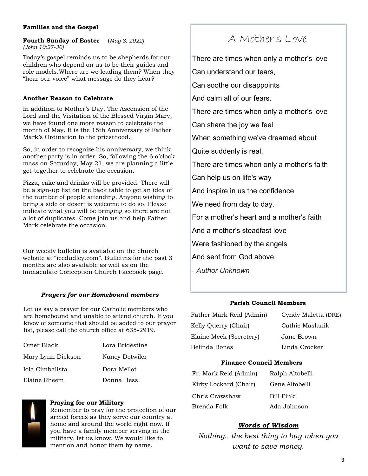#### **Families and the Gospel**

**Fourth Sunday of Easter** (*May 8, 2022) (John 10:27-30)*

Today's gospel reminds us to be shepherds for our children who depend on us to be their guides and role models.Where are we leading them? When they "hear our voice" what message do they hear?

#### **Another Reason to Celebrate**

In addition to Mother's Day, The Ascension of the Lord and the Visitation of the Blessed Virgin Mary, we have found one more reason to celebrate the month of May. It is the 15th Anniversary of Father Mark's Ordination to the priesthood.

So, in order to recognize his anniversary, we think another party is in order. So, following the 6 o'clock mass on Saturday, May 21, we are planning a little get-together to celebrate the occasion.

Pizza, cake and drinks will be provided. There will be a sign-up list on the back table to get an idea of the number of people attending. Anyone wishing to bring a side or desert is welcome to do so. Please indicate what you will be bringing so there are not a lot of duplicates. Come join us and help Father Mark celebrate the occasion.

Our weekly bulletin is available on the church website at "iccdudley.com". Bulletins for the past 3 months are also available as well as on the Immaculate Conception Church Facebook page.

#### *Prayers for our Homebound members*

Let us say a prayer for our Catholic members who are homebound and unable to attend church. If you know of someone that should be added to our prayer list, please call the church office at 635-2919.

| Omer Black        | Lora Bridestine |  |
|-------------------|-----------------|--|
| Mary Lynn Dickson | Nancy Detwiler  |  |
| Iola Cimbalista   | Dora Mellot     |  |
| Elaine Rheem      | Donna Hess      |  |



armed forces as they serve our country at home and around the world right now. If you have a family member serving in the military, let us know. We would like to mention and honor them by name.

## A Mother's Love

There are times when only a mother's love Can understand our tears, Can soothe our disappoints And calm all of our fears. There are times when only a mother's love Can share the joy we feel When something we've dreamed about Quite suddenly is real. There are times when only a mother's faith Can help us on life's way And inspire in us the confidence We need from day to day. For a mother's heart and a mother's faith And a mother's steadfast love Were fashioned by the angels And sent from God above. *- Author Unknown*

#### **Parish Council Members**

Father Mark Reid (Admin) Cyndy Maletta (DRE) Kelly Querry (Chair) Cathie Maslanik Elaine Meck (Secretery) Jane Brown Belinda Bones Linda Crocker

#### **Finance Council Members**

| ralista                                                                       | Dula McIlul | Fr. Mark Reid (Admin) | Ralph Altobelli |
|-------------------------------------------------------------------------------|-------------|-----------------------|-----------------|
| ıeem                                                                          | Donna Hess  | Kirby Lockard (Chair) | Gene Altobelli  |
|                                                                               |             | Chris Crawshaw        | Bill Fink       |
| <b>Praying for our Military</b><br>Remember to pray for the protection of our |             | Brenda Folk           | Ada Johnson     |

#### *Words of Wisdom*

*Nothing...the best thing to buy when you want to save money.*